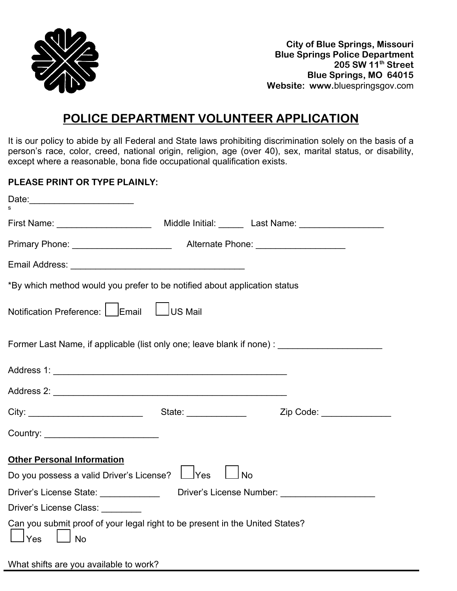

**City of Blue Springs, Missouri Blue Springs Police Department 205 SW 11th Street Blue Springs, MO 64015 Website: www.**bluespringsgov.com

# **POLICE DEPARTMENT VOLUNTEER APPLICATION**

It is our policy to abide by all Federal and State laws prohibiting discrimination solely on the basis of a person's race, color, creed, national origin, religion, age (over 40), sex, marital status, or disability, except where a reasonable, bona fide occupational qualification exists.

# **PLEASE PRINT OR TYPE PLAINLY:**

| Date: __________________________                                                                                                                                                                                              |                         |                                                                                                                |  |  |
|-------------------------------------------------------------------------------------------------------------------------------------------------------------------------------------------------------------------------------|-------------------------|----------------------------------------------------------------------------------------------------------------|--|--|
|                                                                                                                                                                                                                               |                         |                                                                                                                |  |  |
|                                                                                                                                                                                                                               |                         |                                                                                                                |  |  |
|                                                                                                                                                                                                                               |                         |                                                                                                                |  |  |
| *By which method would you prefer to be notified about application status                                                                                                                                                     |                         |                                                                                                                |  |  |
| Notification Preference:   Email   US Mail                                                                                                                                                                                    |                         |                                                                                                                |  |  |
| Former Last Name, if applicable (list only one; leave blank if none) :                                                                                                                                                        |                         |                                                                                                                |  |  |
|                                                                                                                                                                                                                               |                         |                                                                                                                |  |  |
|                                                                                                                                                                                                                               |                         |                                                                                                                |  |  |
| City: City: City: City: City: City: City: City: City: City: City: City: City: City: City: City: City: City: City: City: City: City: City: City: City: City: City: City: City: City: City: City: City: City: City: City: City: |                         |                                                                                                                |  |  |
| Country: _____________________________                                                                                                                                                                                        |                         |                                                                                                                |  |  |
| <b>Other Personal Information</b><br>Do you possess a valid Driver's License?                                                                                                                                                 | $\Box$ Yes<br><b>No</b> |                                                                                                                |  |  |
| Driver's License State: _______________                                                                                                                                                                                       |                         | Driver's License Number: North and Service School and Service School and Service School and Service School and |  |  |
| Driver's License Class: Universe School<br>Can you submit proof of your legal right to be present in the United States?                                                                                                       |                         |                                                                                                                |  |  |
| Yes<br><b>No</b>                                                                                                                                                                                                              |                         |                                                                                                                |  |  |

What shifts are you available to work?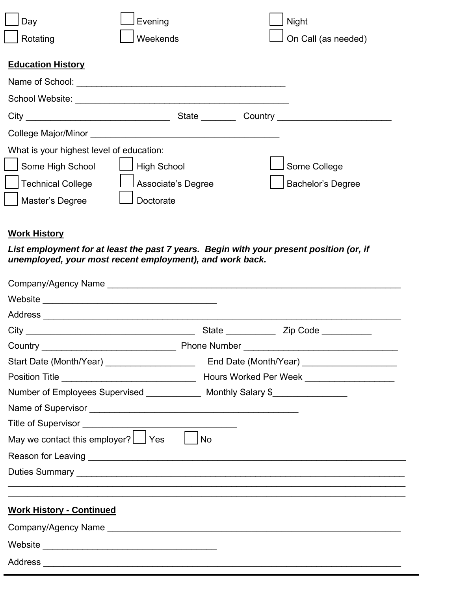| Day<br>Rotating                          | Evening<br>Weekends | Night<br>On Call (as needed) |
|------------------------------------------|---------------------|------------------------------|
| <b>Education History</b>                 |                     |                              |
|                                          |                     |                              |
|                                          |                     |                              |
|                                          | State _______       | <b>Country Country</b>       |
| College Major/Minor                      |                     |                              |
| What is your highest level of education: |                     |                              |
| Some High School                         | <b>High School</b>  | Some College                 |
| <b>Technical College</b>                 | Associate's Degree  | <b>Bachelor's Degree</b>     |
| Master's Degree                          | Doctorate           |                              |

# **Work History**

*List employment for at least the past 7 years. Begin with your present position (or, if unemployed, your most recent employment), and work back.* 

| Hours Worked Per Week _____________________<br>Position Title <u>_________________________________</u> |  |  |  |  |                                 |  |  |
|--------------------------------------------------------------------------------------------------------|--|--|--|--|---------------------------------|--|--|
| Number of Employees Supervised ______________ Monthly Salary \$__________________                      |  |  |  |  |                                 |  |  |
|                                                                                                        |  |  |  |  |                                 |  |  |
| Title of Supervisor _____________                                                                      |  |  |  |  |                                 |  |  |
| May we contact this employer? $\Box$ Yes<br><b>No</b>                                                  |  |  |  |  |                                 |  |  |
|                                                                                                        |  |  |  |  | <b>Work History - Continued</b> |  |  |
|                                                                                                        |  |  |  |  |                                 |  |  |
|                                                                                                        |  |  |  |  |                                 |  |  |
|                                                                                                        |  |  |  |  |                                 |  |  |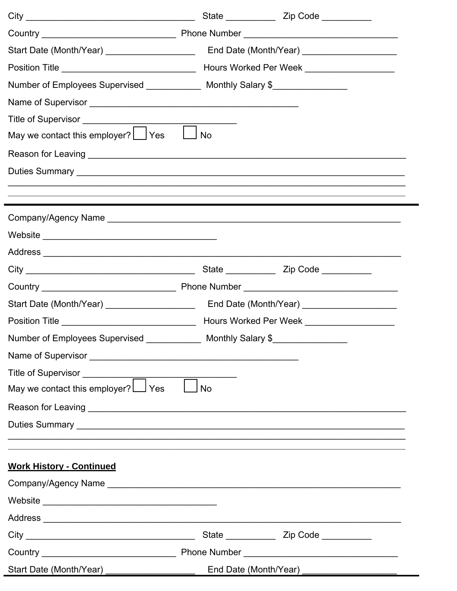| Number of Employees Supervised ______________ Monthly Salary \$__________________ |                                                                                  |
|-----------------------------------------------------------------------------------|----------------------------------------------------------------------------------|
|                                                                                   |                                                                                  |
|                                                                                   |                                                                                  |
| May we contact this employer? $\Box$ Yes                                          | $\lfloor \rfloor$ No                                                             |
|                                                                                   |                                                                                  |
|                                                                                   |                                                                                  |
|                                                                                   |                                                                                  |
|                                                                                   | ,我们也不会有什么。""我们的人,我们也不会有什么?""我们的人,我们也不会有什么?""我们的人,我们也不会有什么?""我们的人,我们也不会有什么?""我们的人 |
|                                                                                   |                                                                                  |
|                                                                                   |                                                                                  |
|                                                                                   |                                                                                  |
|                                                                                   |                                                                                  |
|                                                                                   |                                                                                  |
|                                                                                   |                                                                                  |
|                                                                                   |                                                                                  |
| Number of Employees Supervised ______________ Monthly Salary \$__________________ |                                                                                  |
|                                                                                   |                                                                                  |
| Title of Supervisor                                                               |                                                                                  |
| May we contact this employer? $\Box$ Yes                                          | 」 No                                                                             |
|                                                                                   |                                                                                  |
|                                                                                   |                                                                                  |
|                                                                                   |                                                                                  |
| <b>Work History - Continued</b>                                                   |                                                                                  |
|                                                                                   |                                                                                  |
|                                                                                   |                                                                                  |
|                                                                                   |                                                                                  |
|                                                                                   |                                                                                  |
|                                                                                   |                                                                                  |
| Start Date (Month/Year) ____________________                                      |                                                                                  |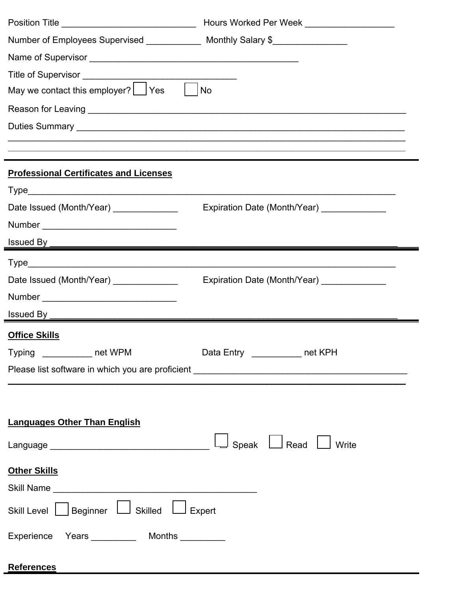|                                                                                   | Hours Worked Per Week _____________________                                       |
|-----------------------------------------------------------------------------------|-----------------------------------------------------------------------------------|
| Number of Employees Supervised ______________ Monthly Salary \$__________________ |                                                                                   |
|                                                                                   |                                                                                   |
|                                                                                   |                                                                                   |
| May we contact this employer?   Yes                                               | <b>No</b>                                                                         |
|                                                                                   |                                                                                   |
|                                                                                   |                                                                                   |
|                                                                                   |                                                                                   |
| <b>Professional Certificates and Licenses</b>                                     |                                                                                   |
|                                                                                   |                                                                                   |
| Date Issued (Month/Year) ______________                                           | Expiration Date (Month/Year) ______________                                       |
|                                                                                   |                                                                                   |
|                                                                                   |                                                                                   |
|                                                                                   |                                                                                   |
| Date Issued (Month/Year) ______________                                           | Expiration Date (Month/Year) ______________                                       |
|                                                                                   |                                                                                   |
|                                                                                   |                                                                                   |
| <b>Office Skills</b>                                                              |                                                                                   |
| Typing _____________ net WPM bata Entry ___________ net KPH                       |                                                                                   |
|                                                                                   | Please list software in which you are proficient ________________________________ |
|                                                                                   |                                                                                   |
|                                                                                   |                                                                                   |
| <b>Languages Other Than English</b>                                               |                                                                                   |
|                                                                                   | $\Box$ Speak $\Box$ Read $\Box$<br>Write                                          |
| <b>Other Skills</b>                                                               |                                                                                   |
|                                                                                   |                                                                                   |
| Skill Level     Beginner   Skilled   Expert                                       |                                                                                   |
| Experience Years ________ Months _______                                          |                                                                                   |
| <b>References</b>                                                                 |                                                                                   |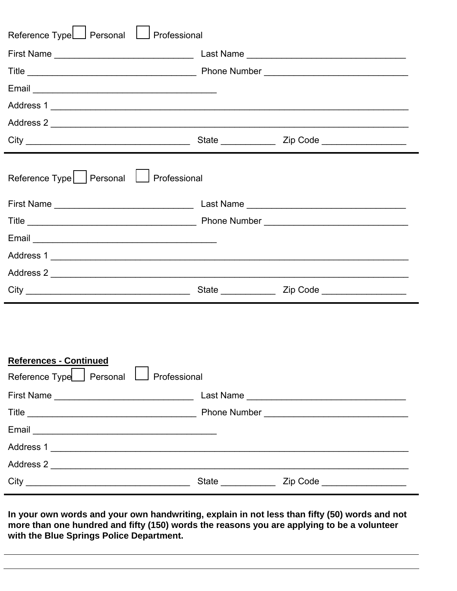| Reference Type   Personal   Professional |       |                                                                                                                                                                                                                                      |
|------------------------------------------|-------|--------------------------------------------------------------------------------------------------------------------------------------------------------------------------------------------------------------------------------------|
|                                          |       |                                                                                                                                                                                                                                      |
|                                          |       |                                                                                                                                                                                                                                      |
|                                          |       |                                                                                                                                                                                                                                      |
|                                          |       |                                                                                                                                                                                                                                      |
| Address 2                                |       |                                                                                                                                                                                                                                      |
|                                          |       |                                                                                                                                                                                                                                      |
| Reference Type   Personal   Professional |       |                                                                                                                                                                                                                                      |
|                                          |       |                                                                                                                                                                                                                                      |
|                                          |       |                                                                                                                                                                                                                                      |
|                                          |       |                                                                                                                                                                                                                                      |
| Address 1                                |       |                                                                                                                                                                                                                                      |
|                                          |       |                                                                                                                                                                                                                                      |
|                                          |       | Zip Code <u>New York New York New York New York New York New York New York New York New York New York New York New York New York New York New York New York New York New York New York New York New York New York New York New Y</u> |
| <b>References - Continued</b>            |       |                                                                                                                                                                                                                                      |
| Reference Type Personal U Professional   |       |                                                                                                                                                                                                                                      |
|                                          |       |                                                                                                                                                                                                                                      |
|                                          |       |                                                                                                                                                                                                                                      |
|                                          |       |                                                                                                                                                                                                                                      |
|                                          |       |                                                                                                                                                                                                                                      |
|                                          |       |                                                                                                                                                                                                                                      |
|                                          | State | Zip Code                                                                                                                                                                                                                             |

**In your own words and your own handwriting, explain in not less than fifty (50) words and not more than one hundred and fifty (150) words the reasons you are applying to be a volunteer with the Blue Springs Police Department.**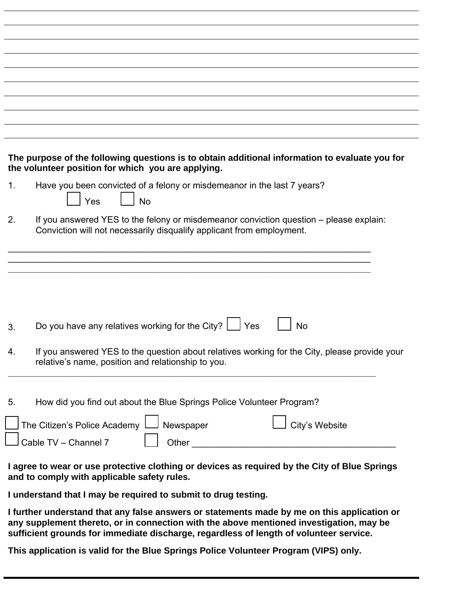| The purpose of the following questions is to obtain additional information to evaluate you for<br>the volunteer position for which you are applying.                  |
|-----------------------------------------------------------------------------------------------------------------------------------------------------------------------|
| Have you been convicted of a felony or misdemeanor in the last 7 years?<br>1.<br>Yes<br><b>No</b>                                                                     |
| 2.<br>If you answered YES to the felony or misdemeanor conviction question – please explain:<br>Conviction will not necessarily disqualify applicant from employment. |
|                                                                                                                                                                       |
|                                                                                                                                                                       |
| Do you have any relatives working for the City? $\Box$ Yes<br>No<br>3.                                                                                                |
| If you answered YES to the question about relatives working for the City, please provide your<br>4.<br>relative's name, position and relationship to you.             |
| How did you find out about the Blue Springs Police Volunteer Program?<br>5.                                                                                           |
|                                                                                                                                                                       |
| The Citizen's Police Academy<br>City's Website<br>Newspaper<br>Cable TV - Channel 7<br>Other                                                                          |
| I agree to wear or use protective clothing or devices as required by the City of Blue Springs<br>and to comply with applicable safety rules.                          |
| I understand that I may be required to submit to drug testing.                                                                                                        |
| I further understand that any false answers or statements made by me on this application or                                                                           |
| any supplement thereto, or in connection with the above mentioned investigation, may be                                                                               |

**This application is valid for the Blue Springs Police Volunteer Program (VIPS) only.** 

**sufficient grounds for immediate discharge, regardless of length of volunteer service.**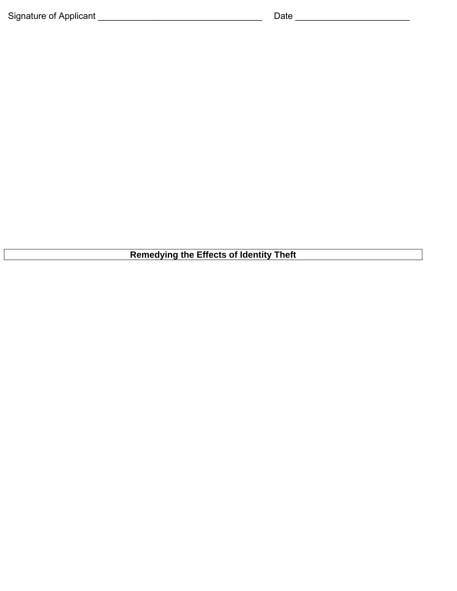**Remedying the Effects of Identity Theft** *Remedying the Effects of Identity Theft*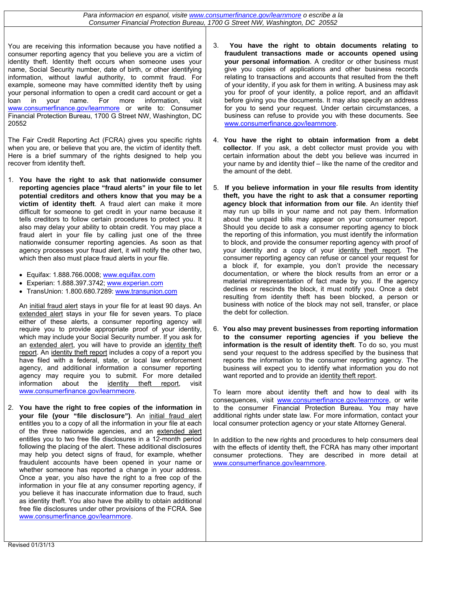*Para informacion en espanol, visite www.consumerfinance.gov/learnmore o escribe a la Consumer Financial Protection Bureau, 1700 G Street NW, Washington, DC 20552*

You are receiving this information because you have notified a consumer reporting agency that you believe you are a victim of identity theft. Identity theft occurs when someone uses your name, Social Security number, date of birth, or other identifying information, without lawful authority, to commit fraud. For example, someone may have committed identity theft by using your personal information to open a credit card account or get a loan in your name. For more information, visit www.consumerfinance.gov/learnmore or write to: Consumer Financial Protection Bureau, 1700 G Street NW, Washington, DC 20552

The Fair Credit Reporting Act (FCRA) gives you specific rights when you are, or believe that you are, the victim of identity theft. Here is a brief summary of the rights designed to help you recover from identity theft.

- 1. **You have the right to ask that nationwide consumer reporting agencies place "fraud alerts" in your file to let potential creditors and others know that you may be a victim of identity theft**. A fraud alert can make it more difficult for someone to get credit in your name because it tells creditors to follow certain procedures to protect you. It also may delay your ability to obtain credit. You may place a fraud alert in your file by calling just one of the three nationwide consumer reporting agencies. As soon as that agency processes your fraud alert, it will notify the other two, which then also must place fraud alerts in your file.
	- Equifax: 1.888.766.0008; www.equifax.com
	- Experian: 1.888.397.3742; www.experian.com
	- TransUnion: 1.800.680.7289: www.transunion.com

An initial fraud alert stays in your file for at least 90 days. An extended alert stays in your file for seven years. To place either of these alerts, a consumer reporting agency will require you to provide appropriate proof of your identity, which may include your Social Security number. If you ask for an extended alert, you will have to provide an identity theft report. An identity theft report includes a copy of a report you have filed with a federal, state, or local law enforcement agency, and additional information a consumer reporting agency may require you to submit. For more detailed information about the identity theft report, visit www.consumerfinance.gov/learnmeore.

2. **You have the right to free copies of the information in your file (your "file disclosure")**. An initial fraud alert entitles you to a copy of all the information in your file at each of the three nationwide agencies, and an extended alert entitles you to two free file disclosures in a 12-month period following the placing of the alert. These additional disclosures may help you detect signs of fraud, for example, whether fraudulent accounts have been opened in your name or whether someone has reported a change in your address. Once a year, you also have the right to a free cop of the information in your file at any consumer reporting agency, if you believe it has inaccurate information due to fraud, such as identity theft. You also have the ability to obtain additional free file disclosures under other provisions of the FCRA. See www.consumerfinance.gov/learnmore.

- 3. **You have the right to obtain documents relating to fraudulent transactions made or accounts opened using your personal information**. A creditor or other business must give you copies of applications and other business records relating to transactions and accounts that resulted from the theft of your identity, if you ask for them in writing. A business may ask you for proof of your identity, a police report, and an affidavit before giving you the documents. It may also specify an address for you to send your request. Under certain circumstances, a business can refuse to provide you with these documents. See www.consumerfinance.gov/learnmore.
- 4. **You have the right to obtain information from a debt collector**. If you ask, a debt collector must provide you with certain information about the debt you believe was incurred in your name by and identity thief – like the name of the creditor and the amount of the debt.
- 5. **If you believe information in your file results from identity theft, you have the right to ask that a consumer reporting agency block that information from our file**. An identity thief may run up bills in your name and not pay them. Information about the unpaid bills may appear on your consumer report. Should you decide to ask a consumer reporting agency to block the reporting of this information, you must identify the information to block, and provide the consumer reporting agency with proof of your identity and a copy of your identity theft report. The consumer reporting agency can refuse or cancel your request for a block if, for example, you don't provide the necessary documentation, or where the block results from an error or a material misrepresentation of fact made by you. If the agency declines or rescinds the block, it must notify you. Once a debt resulting from identity theft has been blocked, a person or business with notice of the block may not sell, transfer, or place the debt for collection.
- 6. **You also may prevent businesses from reporting information to the consumer reporting agencies if you believe the information is the result of identity theft**. To do so, you must send your request to the address specified by the business that reports the information to the consumer reporting agency. The business will expect you to identify what information you do not want reported and to provide an identity theft report.

To learn more about identity theft and how to deal with its consequences, visit www.consumerfinance.gov/learnmore, or write to the consumer Financial Protection Bureau. You may have additional rights under state law. For more information, contact your local consumer protection agency or your state Attorney General.

In addition to the new rights and procedures to help consumers deal with the effects of identity theft, the FCRA has many other important consumer protections. They are described in more detail at www.consumerfinance.gov/learnmore.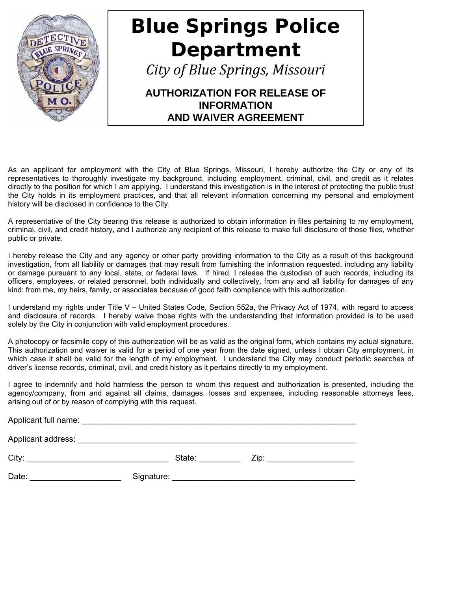

As an applicant for employment with the City of Blue Springs, Missouri, I hereby authorize the City or any of its representatives to thoroughly investigate my background, including employment, criminal, civil, and credit as it relates directly to the position for which I am applying. I understand this investigation is in the interest of protecting the public trust the City holds in its employment practices, and that all relevant information concerning my personal and employment history will be disclosed in confidence to the City.

A representative of the City bearing this release is authorized to obtain information in files pertaining to my employment, criminal, civil, and credit history, and I authorize any recipient of this release to make full disclosure of those files, whether public or private.

I hereby release the City and any agency or other party providing information to the City as a result of this background investigation, from all liability or damages that may result from furnishing the information requested, including any liability or damage pursuant to any local, state, or federal laws. If hired, I release the custodian of such records, including its officers, employees, or related personnel, both individually and collectively, from any and all liability for damages of any kind: from me, my heirs, family, or associates because of good faith compliance with this authorization.

I understand my rights under Title V – United States Code, Section 552a, the Privacy Act of 1974, with regard to access and disclosure of records. I hereby waive those rights with the understanding that information provided is to be used solely by the City in conjunction with valid employment procedures.

A photocopy or facsimile copy of this authorization will be as valid as the original form, which contains my actual signature. This authorization and waiver is valid for a period of one year from the date signed, unless I obtain City employment, in which case it shall be valid for the length of my employment. I understand the City may conduct periodic searches of driver's license records, criminal, civil, and credit history as it pertains directly to my employment.

I agree to indemnify and hold harmless the person to whom this request and authorization is presented, including the agency/company, from and against all claims, damages, losses and expenses, including reasonable attorneys fees, arising out of or by reason of complying with this request.

| Applicant address: North and the state of the state of the state of the state of the state of the state of the |                                                                                                                                                                                                                                |                               |
|----------------------------------------------------------------------------------------------------------------|--------------------------------------------------------------------------------------------------------------------------------------------------------------------------------------------------------------------------------|-------------------------------|
|                                                                                                                | State: and the state of the state of the state of the state of the state of the state of the state of the state of the state of the state of the state of the state of the state of the state of the state of the state of the | Zip: ________________________ |
| Date:                                                                                                          |                                                                                                                                                                                                                                |                               |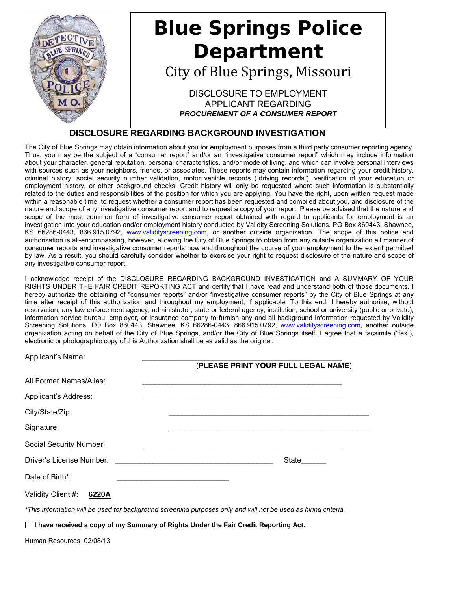

# **DISCLOSURE REGARDING BACKGROUND INVESTIGATION**

The City of Blue Springs may obtain information about you for employment purposes from a third party consumer reporting agency. Thus, you may be the subject of a "consumer report" and/or an "investigative consumer report" which may include information about your character, general reputation, personal characteristics, and/or mode of living, and which can involve personal interviews with sources such as your neighbors, friends, or associates. These reports may contain information regarding your credit history, criminal history, social security number validation, motor vehicle records ("driving records"), verification of your education or employment history, or other background checks. Credit history will only be requested where such information is substantially related to the duties and responsibilities of the position for which you are applying. You have the right, upon written request made within a reasonable time, to request whether a consumer report has been requested and compiled about you, and disclosure of the nature and scope of any investigative consumer report and to request a copy of your report. Please be advised that the nature and scope of the most common form of investigative consumer report obtained with regard to applicants for employment is an investigation into your education and/or employment history conducted by Validity Screening Solutions. PO Box 860443, Shawnee, KS 66286-0443, 866.915.0792, www.validityscreening.com, or another outside organization. The scope of this notice and authorization is all-encompassing, however, allowing the City of Blue Springs to obtain from any outside organization all manner of consumer reports and investigative consumer reports now and throughout the course of your employment to the extent permitted by law. As a result, you should carefully consider whether to exercise your right to request disclosure of the nature and scope of any investigative consumer report.

I acknowledge receipt of the DISCLOSURE REGARDING BACKGROUND INVESTICATION and A SUMMARY OF YOUR RIGHTS UNDER THE FAIR CREDIT REPORTING ACT and certify that I have read and understand both of those documents. I hereby authorize the obtaining of "consumer reports" and/or "investigative consumer reports" by the City of Blue Springs at any time after receipt of this authorization and throughout my employment, if applicable. To this end, I hereby authorize, without reservation, any law enforcement agency, administrator, state or federal agency, institution, school or university (public or private), information service bureau, employer, or insurance company to furnish any and all background information requested by Validity Screening Solutions, PO Box 860443, Shawnee, KS 66286-0443, 866.915.0792, www.validityscreening.com, another outside organization acting on behalf of the City of Blue Springs, and/or the City of Blue Springs itself. I agree that a facsimile ("fax"), electronic or photographic copy of this Authorization shall be as valid as the original.

| Applicant's Name:           |                                                                                                                |
|-----------------------------|----------------------------------------------------------------------------------------------------------------|
|                             | (PLEASE PRINT YOUR FULL LEGAL NAME)                                                                            |
| All Former Names/Alias:     |                                                                                                                |
| Applicant's Address:        |                                                                                                                |
| City/State/Zip:             |                                                                                                                |
| Signature:                  |                                                                                                                |
| Social Security Number:     |                                                                                                                |
| Driver's License Number:    | State <sub>____</sub>                                                                                          |
| Date of Birth*:             |                                                                                                                |
| Validity Client #:<br>6220A |                                                                                                                |
|                             | *This information will be used for background screening purposes only and will not be used as hiring criteria. |

**I have received a copy of my Summary of Rights Under the Fair Credit Reporting Act.** 

Human Resources 02/08/13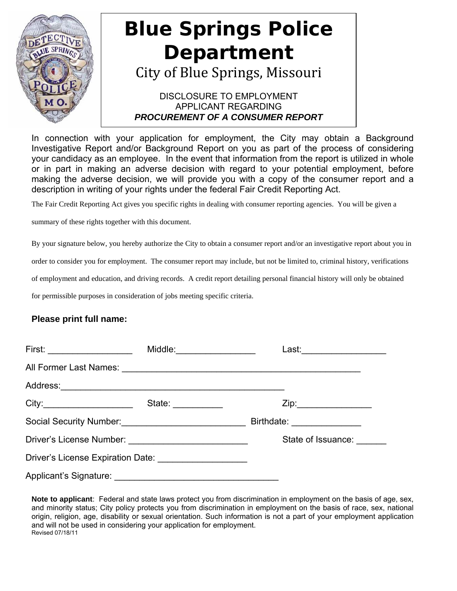

# *Blue Springs Police Department*  City of Blue Springs, Missouri

### DISCLOSURE TO EMPLOYMENT APPLICANT REGARDING *PROCUREMENT OF A CONSUMER REPORT*

In connection with your application for employment, the City may obtain a Background Investigative Report and/or Background Report on you as part of the process of considering your candidacy as an employee. In the event that information from the report is utilized in whole or in part in making an adverse decision with regard to your potential employment, before making the adverse decision, we will provide you with a copy of the consumer report and a description in writing of your rights under the federal Fair Credit Reporting Act.

The Fair Credit Reporting Act gives you specific rights in dealing with consumer reporting agencies. You will be given a

summary of these rights together with this document.

By your signature below, you hereby authorize the City to obtain a consumer report and/or an investigative report about you in

order to consider you for employment. The consumer report may include, but not be limited to, criminal history, verifications

of employment and education, and driving records. A credit report detailing personal financial history will only be obtained

for permissible purposes in consideration of jobs meeting specific criteria.

#### **Please print full name:**

| First: ______________________                              | Middle: ___________________ |                             |
|------------------------------------------------------------|-----------------------------|-----------------------------|
|                                                            |                             |                             |
|                                                            |                             |                             |
|                                                            | State: ___________          | Zip:___________________     |
| Social Security Number:<br><u> Cocial Security Number:</u> |                             | Birthdate: ________________ |
|                                                            |                             | State of Issuance: _______  |
| Driver's License Expiration Date: _____________________    |                             |                             |
|                                                            |                             |                             |

**Note to applicant**: Federal and state laws protect you from discrimination in employment on the basis of age, sex, and minority status; City policy protects you from discrimination in employment on the basis of race, sex, national origin, religion, age, disability or sexual orientation. Such information is not a part of your employment application and will not be used in considering your application for employment. Revised 07/18/11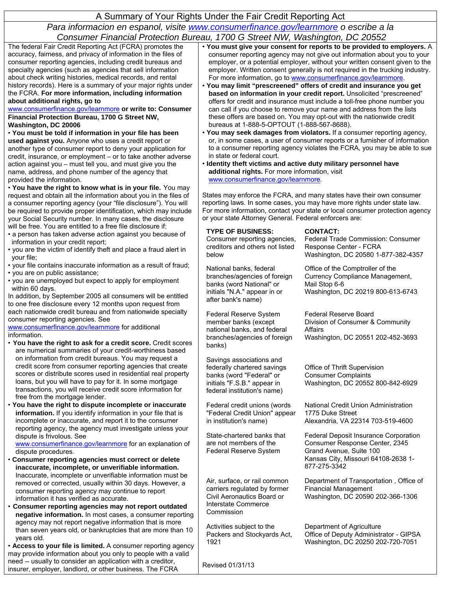### A Summary of Your Rights Under the Fair Credit Reporting Act

#### *Para informacion en espanol, visite www.consumerfinance.gov/learnmore o escribe a la Consumer Financial Protection Bureau, 1700 G Street NW, Washington, DC 20552*

The federal Fair Credit Reporting Act (FCRA) promotes the accuracy, fairness, and privacy of information in the files of consumer reporting agencies, including credit bureaus and specialty agencies (such as agencies that sell information about check writing histories, medical records, and rental history records). Here is a summary of your major rights under the FCRA. **For more information, including information about additional rights, go to** 

#### www.consumerfinance.gov/learnmore **or write to: Consumer Financial Protection Bureau, 1700 G Street NW,**

#### **Washington, DC 20006**

• **You must be told if information in your file has been used against you.** Anyone who uses a credit report or another type of consumer report to deny your application for credit, insurance, or employment – or to take another adverse action against you – must tell you, and must give you the name, address, and phone number of the agency that provided the information.

• **You have the right to know what is in your file.** You may request and obtain all the information about you in the files of a consumer reporting agency (your "file disclosure"). You will be required to provide proper identification, which may include your Social Security number. In many cases, the disclosure will be free. You are entitled to a free file disclosure if:

- a person has taken adverse action against you because of information in your credit report;
- you are the victim of identify theft and place a fraud alert in your file;
- your file contains inaccurate information as a result of fraud;
- you are on public assistance;
- you are unemployed but expect to apply for employment within 60 days.

In addition, by September 2005 all consumers will be entitled to one free disclosure every 12 months upon request from each nationwide credit bureau and from nationwide specialty consumer reporting agencies. See

#### www.consumerfinance.gov/learnmore for additional information.

- **You have the right to ask for a credit score.** Credit scores are numerical summaries of your credit-worthiness based on information from credit bureaus. You may request a credit score from consumer reporting agencies that create scores or distribute scores used in residential real property loans, but you will have to pay for it. In some mortgage transactions, you will receive credit score information for free from the mortgage lender.
- **You have the right to dispute incomplete or inaccurate information.** If you identify information in your file that is incomplete or inaccurate, and report it to the consumer reporting agency, the agency must investigate unless your dispute is frivolous. See

www.consumerfinance.gov/learnmore for an explanation of dispute procedures.

- **Consumer reporting agencies must correct or delete inaccurate, incomplete, or unverifiable information.**  Inaccurate, incomplete or unverifiable information must be removed or corrected, usually within 30 days. However, a consumer reporting agency may continue to report information it has verified as accurate.
- **Consumer reporting agencies may not report outdated negative information.** In most cases, a consumer reporting agency may not report negative information that is more than seven years old, or bankruptcies that are more than 10 years old.

• **Access to your file is limited.** A consumer reporting agency may provide information about you only to people with a valid need -- usually to consider an application with a creditor, insurer, employer, landlord, or other business. The FCRA

- **You must give your consent for reports to be provided to employers.** A consumer reporting agency may not give out information about you to your employer, or a potential employer, without your written consent given to the employer. Written consent generally is not required in the trucking industry. For more information, go to www.consumerfinance.gov/learnmore.
- **You may limit "prescreened" offers of credit and insurance you get based on information in your credit report.** Unsolicited "prescreened" offers for credit and insurance must include a toll-free phone number you can call if you choose to remove your name and address from the lists these offers are based on. You may opt-out with the nationwide credit bureaus at 1-888-5-OPTOUT (1-888-567-8688).
- **You may seek damages from violators.** If a consumer reporting agency, or, in some cases, a user of consumer reports or a furnisher of information to a consumer reporting agency violates the FCRA, you may be able to sue in state or federal court.
- **Identity theft victims and active duty military personnel have additional rights.** For more information, visit www.consumerfinance.gov/learnmore.

States may enforce the FCRA, and many states have their own consumer reporting laws. In some cases, you may have more rights under state law. For more information, contact your state or local consumer protection agency or your state Attorney General. Federal enforcers are:

#### **TYPE OF BUSINESS: CONTACT:**

Consumer reporting agencies, creditors and others not listed below

National banks, federal branches/agencies of foreign banks (word National" or initials "N.A." appear in or after bank's name)

Federal Reserve System member banks (except national banks, and federal branches/agencies of foreign banks)

Savings associations and federally chartered savings banks (word "Federal" or initials "F.S.B." appear in federal institution's name)

Federal credit unions (words "Federal Credit Union" appear in institution's name)

State-chartered banks that are not members of the Federal Reserve System

Air, surface, or rail common carriers regulated by former Civil Aeronautics Board or Interstate Commerce Commission

Activities subject to the Packers and Stockyards Act, 1921

Federal Trade Commission: Consumer Response Center - FCRA Washington, DC 20580 1-877-382-4357

Office of the Comptroller of the Currency Compliance Management, Mail Stop 6-6 Washington, DC 20219 800-613-6743

Federal Reserve Board Division of Consumer & Community Affairs Washington, DC 20551 202-452-3693

Office of Thrift Supervision Consumer Complaints Washington, DC 20552 800-842-6929

National Credit Union Administration 1775 Duke Street Alexandria, VA 22314 703-519-4600

Federal Deposit Insurance Corporation Consumer Response Center, 2345 Grand Avenue, Suite 100 Kansas City, Missouri 64108-2638 1- 877-275-3342

Department of Transportation , Office of Financial Management Washington, DC 20590 202-366-1306

Department of Agriculture Office of Deputy Administrator - GIPSA Washington, DC 20250 202-720-7051

Revised 01/31/13